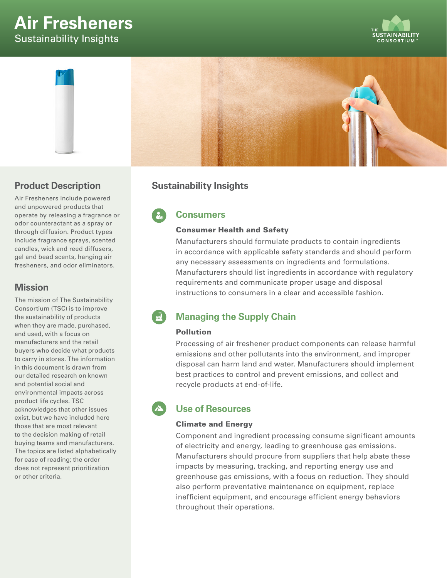# **Air Fresheners**  Sustainability Insights





### **Product Description**

Air Fresheners include powered and unpowered products that operate by releasing a fragrance or odor counteractant as a spray or through diffusion. Product types include fragrance sprays, scented candles, wick and reed diffusers, gel and bead scents, hanging air fresheners, and odor eliminators.

### **Mission**

The mission of The Sustainability Consortium (TSC) is to improve the sustainability of products when they are made, purchased, and used, with a focus on manufacturers and the retail buyers who decide what products to carry in stores. The information in this document is drawn from our detailed research on known and potential social and environmental impacts across product life cycles. TSC acknowledges that other issues exist, but we have included here those that are most relevant to the decision making of retail buying teams and manufacturers. The topics are listed alphabetically for ease of reading; the order does not represent prioritization or other criteria.

### **Sustainability Insights**

## **Consumers**

#### Consumer Health and Safety

Manufacturers should formulate products to contain ingredients in accordance with applicable safety standards and should perform any necessary assessments on ingredients and formulations. Manufacturers should list ingredients in accordance with regulatory requirements and communicate proper usage and disposal instructions to consumers in a clear and accessible fashion.

## **Managing the Supply Chain**

#### Pollution

Processing of air freshener product components can release harmful emissions and other pollutants into the environment, and improper disposal can harm land and water. Manufacturers should implement best practices to control and prevent emissions, and collect and recycle products at end-of-life.

## **Use of Resources**

#### Climate and Energy

Component and ingredient processing consume significant amounts of electricity and energy, leading to greenhouse gas emissions. Manufacturers should procure from suppliers that help abate these impacts by measuring, tracking, and reporting energy use and greenhouse gas emissions, with a focus on reduction. They should also perform preventative maintenance on equipment, replace inefficient equipment, and encourage efficient energy behaviors throughout their operations.